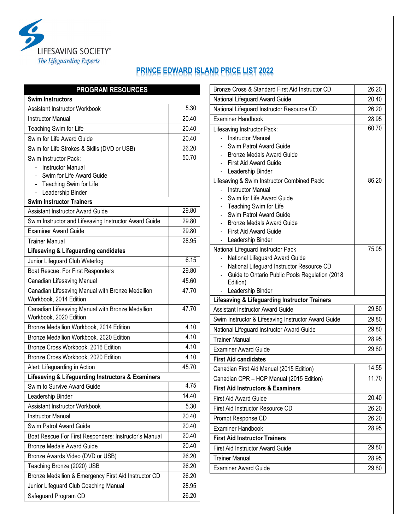

## **PRINCE EDWARD ISLAND PRICE LIST 2022**

| <b>PROGRAM RESOURCES</b>                                                   |       |
|----------------------------------------------------------------------------|-------|
| <b>Swim Instructors</b>                                                    |       |
| <b>Assistant Instructor Workbook</b>                                       | 5.30  |
| <b>Instructor Manual</b>                                                   | 20.40 |
| Teaching Swim for Life                                                     | 20.40 |
| Swim for Life Award Guide                                                  | 20.40 |
| Swim for Life Strokes & Skills (DVD or USB)                                | 26.20 |
| Swim Instructor Pack:                                                      | 50.70 |
| <b>Instructor Manual</b>                                                   |       |
| Swim for Life Award Guide<br>$\blacksquare$                                |       |
| Teaching Swim for Life<br>Leadership Binder                                |       |
| <b>Swim Instructor Trainers</b>                                            |       |
| <b>Assistant Instructor Award Guide</b>                                    | 29.80 |
| Swim Instructor and Lifesaving Instructor Award Guide                      | 29.80 |
| <b>Examiner Award Guide</b>                                                | 29.80 |
| <b>Trainer Manual</b>                                                      | 28.95 |
| Lifesaving & Lifeguarding candidates                                       |       |
| Junior Lifeguard Club Waterlog                                             | 6.15  |
| Boat Rescue: For First Responders                                          | 29.80 |
| Canadian Lifesaving Manual                                                 | 45.60 |
| Canadian Lifesaving Manual with Bronze Medallion                           | 47.70 |
| Workbook, 2014 Edition                                                     |       |
| Canadian Lifesaving Manual with Bronze Medallion<br>Workbook, 2020 Edition | 47.70 |
| Bronze Medallion Workbook, 2014 Edition                                    | 4.10  |
| Bronze Medallion Workbook, 2020 Edition                                    | 4.10  |
| Bronze Cross Workbook, 2016 Edition                                        | 4.10  |
| Bronze Cross Workbook, 2020 Edition                                        | 4.10  |
| Alert: Lifeguarding in Action                                              | 45.70 |
| Lifesaving & Lifeguarding Instructors & Examiners                          |       |
| Swim to Survive Award Guide                                                | 4.75  |
| Leadership Binder                                                          | 14.40 |
| Assistant Instructor Workbook                                              | 5.30  |
| <b>Instructor Manual</b>                                                   | 20.40 |
| Swim Patrol Award Guide                                                    | 20.40 |
| Boat Rescue For First Responders: Instructor's Manual                      | 20.40 |
| <b>Bronze Medals Award Guide</b>                                           | 20.40 |
| Bronze Awards Video (DVD or USB)                                           | 26.20 |
| Teaching Bronze (2020) USB                                                 | 26.20 |
| Bronze Medallion & Emergency First Aid Instructor CD                       | 26.20 |
| Junior Lifeguard Club Coaching Manual                                      | 28.95 |
| Safeguard Program CD                                                       | 26.20 |

| Bronze Cross & Standard First Aid Instructor CD                      | 26.20 |
|----------------------------------------------------------------------|-------|
| National Lifeguard Award Guide                                       | 20.40 |
| National Lifeguard Instructor Resource CD                            | 26.20 |
| <b>Examiner Handbook</b>                                             | 28.95 |
| Lifesaving Instructor Pack:                                          | 60.70 |
| <b>Instructor Manual</b>                                             |       |
| Swim Patrol Award Guide                                              |       |
| <b>Bronze Medals Award Guide</b>                                     |       |
| First Aid Award Guide                                                |       |
| Leadership Binder                                                    |       |
| Lifesaving & Swim Instructor Combined Pack:                          | 86.20 |
| <b>Instructor Manual</b>                                             |       |
| Swim for Life Award Guide                                            |       |
| Teaching Swim for Life                                               |       |
| Swim Patrol Award Guide                                              |       |
| <b>Bronze Medals Award Guide</b>                                     |       |
| <b>First Aid Award Guide</b><br>Leadership Binder                    |       |
|                                                                      | 75.05 |
| National Lifeguard Instructor Pack<br>National Lifeguard Award Guide |       |
| National Lifeguard Instructor Resource CD                            |       |
| Guide to Ontario Public Pools Regulation (2018                       |       |
| Edition)                                                             |       |
| Leadership Binder                                                    |       |
| <b>Lifesaving &amp; Lifeguarding Instructor Trainers</b>             |       |
| <b>Assistant Instructor Award Guide</b>                              | 29.80 |
| Swim Instructor & Lifesaving Instructor Award Guide                  | 29.80 |
| National Lifeguard Instructor Award Guide                            | 29.80 |
| <b>Trainer Manual</b>                                                | 28.95 |
| <b>Examiner Award Guide</b>                                          | 29.80 |
| <b>First Aid candidates</b>                                          |       |
| Canadian First Aid Manual (2015 Edition)                             | 14.55 |
| Canadian CPR - HCP Manual (2015 Edition)                             | 11.70 |
| <b>First Aid Instructors &amp; Examiners</b>                         |       |
| <b>First Aid Award Guide</b>                                         | 20.40 |
| First Aid Instructor Resource CD                                     | 26.20 |
| Prompt Response CD                                                   | 26.20 |
| <b>Examiner Handbook</b>                                             | 28.95 |
| <b>First Aid Instructor Trainers</b>                                 |       |
| <b>First Aid Instructor Award Guide</b>                              | 29.80 |
| <b>Trainer Manual</b>                                                | 28.95 |
|                                                                      |       |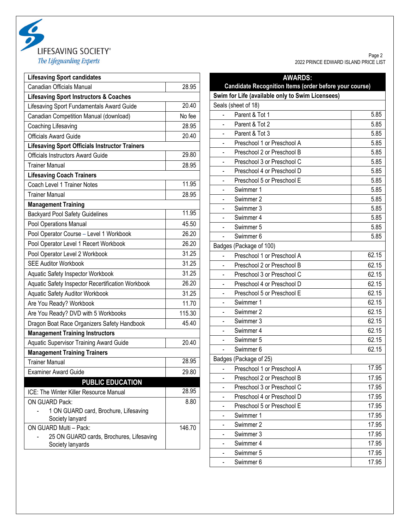

| <b>Lifesaving Sport candidates</b>                           |        |  |
|--------------------------------------------------------------|--------|--|
| Canadian Officials Manual                                    | 28.95  |  |
| <b>Lifesaving Sport Instructors &amp; Coaches</b>            |        |  |
| Lifesaving Sport Fundamentals Award Guide                    | 20.40  |  |
| Canadian Competition Manual (download)                       | No fee |  |
| Coaching Lifesaving                                          | 28.95  |  |
| <b>Officials Award Guide</b>                                 | 20.40  |  |
| <b>Lifesaving Sport Officials Instructor Trainers</b>        |        |  |
| Officials Instructors Award Guide                            | 29.80  |  |
| <b>Trainer Manual</b>                                        | 28.95  |  |
| <b>Lifesaving Coach Trainers</b>                             |        |  |
| Coach Level 1 Trainer Notes                                  | 11.95  |  |
| <b>Trainer Manual</b>                                        | 28.95  |  |
| <b>Management Training</b>                                   |        |  |
| <b>Backyard Pool Safety Guidelines</b>                       | 11.95  |  |
| Pool Operations Manual                                       | 45.50  |  |
| Pool Operator Course - Level 1 Workbook                      | 26.20  |  |
| Pool Operator Level 1 Recert Workbook                        | 26.20  |  |
| Pool Operator Level 2 Workbook                               | 31.25  |  |
| <b>SEE Auditor Workbook</b>                                  | 31.25  |  |
| Aquatic Safety Inspector Workbook                            | 31.25  |  |
| Aquatic Safety Inspector Recertification Workbook            | 26.20  |  |
| Aquatic Safety Auditor Workbook                              | 31.25  |  |
| Are You Ready? Workbook                                      | 11.70  |  |
| Are You Ready? DVD with 5 Workbooks                          | 115.30 |  |
| Dragon Boat Race Organizers Safety Handbook                  | 45.40  |  |
| <b>Management Training Instructors</b>                       |        |  |
| <b>Aquatic Supervisor Training Award Guide</b>               | 20.40  |  |
| <b>Management Training Trainers</b>                          |        |  |
| <b>Trainer Manual</b>                                        | 28.95  |  |
| <b>Examiner Award Guide</b>                                  | 29.80  |  |
| <b>PUBLIC EDUCATION</b>                                      |        |  |
| ICE: The Winter Killer Resource Manual                       | 28.95  |  |
| <b>ON GUARD Pack:</b>                                        | 8.80   |  |
| 1 ON GUARD card, Brochure, Lifesaving                        |        |  |
| Society lanyard                                              |        |  |
| ON GUARD Multi - Pack:                                       | 146.70 |  |
| 25 ON GUARD cards, Brochures, Lifesaving<br>Society lanyards |        |  |

Page 2 2022 PRINCE EDWARD ISLAND PRICE LIST

| <b>AWARDS:</b>                                         |       |
|--------------------------------------------------------|-------|
| Candidate Recognition Items (order before your course) |       |
| Swim for Life (available only to Swim Licensees)       |       |
| Seals (sheet of 18)                                    |       |
| Parent & Tot 1                                         | 5.85  |
| Parent & Tot 2                                         | 5.85  |
| Parent & Tot 3                                         | 5.85  |
| Preschool 1 or Preschool A                             | 5.85  |
| Preschool 2 or Preschool B                             | 5.85  |
| Preschool 3 or Preschool C                             | 5.85  |
| Preschool 4 or Preschool D                             | 5.85  |
| Preschool 5 or Preschool E                             | 5.85  |
| Swimmer 1                                              | 5.85  |
| Swimmer 2                                              | 5.85  |
| Swimmer 3                                              | 5.85  |
| Swimmer 4                                              | 5.85  |
| Swimmer 5                                              | 5.85  |
| Swimmer 6                                              | 5.85  |
| Badges (Package of 100)                                |       |
| Preschool 1 or Preschool A                             | 62.15 |
| Preschool 2 or Preschool B                             | 62.15 |
| Preschool 3 or Preschool C                             | 62.15 |
| Preschool 4 or Preschool D                             | 62.15 |
| Preschool 5 or Preschool E                             | 62.15 |
| Swimmer 1                                              | 62.15 |
| Swimmer 2                                              | 62.15 |
| Swimmer 3                                              | 62.15 |
| Swimmer 4                                              | 62.15 |
| Swimmer 5                                              | 62.15 |
| Swimmer 6                                              | 62.15 |
| Badges (Package of 25)                                 |       |
| Preschool 1 or Preschool A                             | 17.95 |
| Preschool 2 or Preschool B<br>-                        | 17.95 |
| Preschool 3 or Preschool C                             | 17.95 |
| Preschool 4 or Preschool D<br>-                        | 17.95 |
| Preschool 5 or Preschool E<br>-                        | 17.95 |
| Swimmer 1                                              | 17.95 |
| Swimmer 2                                              | 17.95 |
| Swimmer 3<br>-                                         | 17.95 |
| Swimmer 4                                              | 17.95 |
| Swimmer 5                                              | 17.95 |
| Swimmer 6                                              | 17.95 |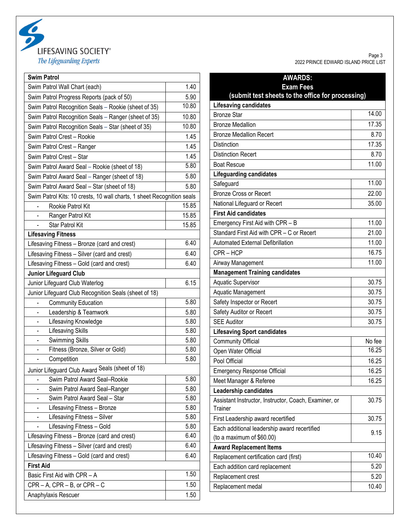

| <b>Swim Patrol</b>                                                     |       |
|------------------------------------------------------------------------|-------|
| Swim Patrol Wall Chart (each)                                          | 1.40  |
| Swim Patrol Progress Reports (pack of 50)                              | 5.90  |
| Swim Patrol Recognition Seals - Rookie (sheet of 35)                   | 10.80 |
| Swim Patrol Recognition Seals - Ranger (sheet of 35)                   | 10.80 |
| Swim Patrol Recognition Seals - Star (sheet of 35)                     | 10.80 |
| Swim Patrol Crest - Rookie                                             | 1.45  |
| Swim Patrol Crest - Ranger                                             | 1.45  |
| Swim Patrol Crest - Star                                               | 1.45  |
| Swim Patrol Award Seal - Rookie (sheet of 18)                          | 5.80  |
| Swim Patrol Award Seal - Ranger (sheet of 18)                          | 5.80  |
| Swim Patrol Award Seal - Star (sheet of 18)                            | 5.80  |
| Swim Patrol Kits: 10 crests, 10 wall charts, 1 sheet Recognition seals |       |
| Rookie Patrol Kit                                                      | 15.85 |
| Ranger Patrol Kit                                                      | 15.85 |
| <b>Star Patrol Kit</b>                                                 | 15.85 |
| <b>Lifesaving Fitness</b>                                              |       |
| Lifesaving Fitness - Bronze (card and crest)                           | 6.40  |
| Lifesaving Fitness - Silver (card and crest)                           | 6.40  |
| Lifesaving Fitness - Gold (card and crest)                             | 6.40  |
| <b>Junior Lifeguard Club</b>                                           |       |
| Junior Lifeguard Club Waterlog                                         | 6.15  |
| Junior Lifeguard Club Recognition Seals (sheet of 18)                  |       |
| <b>Community Education</b>                                             | 5.80  |
| Leadership & Teamwork<br>$\overline{\phantom{0}}$                      | 5.80  |
| Lifesaving Knowledge                                                   | 5.80  |
| Lifesaving Skills                                                      | 5.80  |
| Swimming Skills<br>-                                                   | 5.80  |
| Fitness (Bronze, Silver or Gold)                                       | 5.80  |
| Competition                                                            | 5.80  |
| Junior Lifeguard Club Award Seals (sheet of 18)                        |       |
| Swim Patrol Award Seal-Rookie                                          | 5.80  |
| Swim Patrol Award Seal-Ranger                                          | 5.80  |
| Swim Patrol Award Seal - Star                                          | 5.80  |
| Lifesaving Fitness - Bronze                                            | 5.80  |
| Lifesaving Fitness - Silver                                            | 5.80  |
| Lifesaving Fitness - Gold                                              | 5.80  |
| Lifesaving Fitness - Bronze (card and crest)                           | 6.40  |
| Lifesaving Fitness - Silver (card and crest)                           | 6.40  |
| Lifesaving Fitness - Gold (card and crest)                             | 6.40  |
| <b>First Aid</b>                                                       |       |
| Basic First Aid with CPR - A                                           | 1.50  |
| $CPR - A$ , $CPR - B$ , or $CPR - C$                                   | 1.50  |
| Anaphylaxis Rescuer                                                    | 1.50  |

Page 3 2022 PRINCE EDWARD ISLAND PRICE LIST

| <b>AWARDS:</b>                                                            |        |
|---------------------------------------------------------------------------|--------|
| <b>Exam Fees</b>                                                          |        |
| (submit test sheets to the office for processing)                         |        |
| <b>Lifesaving candidates</b><br><b>Bronze Star</b>                        | 14.00  |
|                                                                           | 17.35  |
| <b>Bronze Medallion</b>                                                   | 8.70   |
| <b>Bronze Medallion Recert</b><br>Distinction                             | 17.35  |
|                                                                           | 8.70   |
| <b>Distinction Recert</b>                                                 | 11.00  |
| <b>Boat Rescue</b><br><b>Lifeguarding candidates</b>                      |        |
| Safeguard                                                                 | 11.00  |
| <b>Bronze Cross or Recert</b>                                             | 22.00  |
| National Lifeguard or Recert                                              | 35.00  |
| <b>First Aid candidates</b>                                               |        |
| Emergency First Aid with CPR - B                                          | 11.00  |
| Standard First Aid with CPR - C or Recert                                 | 21.00  |
| <b>Automated External Defibrillation</b>                                  | 11.00  |
| CPR-HCP                                                                   | 16.75  |
| Airway Management                                                         | 11.00  |
| <b>Management Training candidates</b>                                     |        |
| <b>Aquatic Supervisor</b>                                                 | 30.75  |
| Aquatic Management                                                        | 30.75  |
| Safety Inspector or Recert                                                | 30.75  |
| Safety Auditor or Recert                                                  | 30.75  |
| <b>SEE Auditor</b>                                                        | 30.75  |
| <b>Lifesaving Sport candidates</b>                                        |        |
| <b>Community Official</b>                                                 | No fee |
| Open Water Official                                                       | 16.25  |
| Pool Official                                                             | 16.25  |
| <b>Emergency Response Official</b>                                        | 16.25  |
| Meet Manager & Referee                                                    | 16.25  |
| Leadership candidates                                                     |        |
| Assistant Instructor, Instructor, Coach, Examiner, or<br>Trainer          | 30.75  |
| First Leadership award recertified                                        | 30.75  |
| Each additional leadership award recertified<br>(to a maximum of \$60.00) | 9.15   |
| <b>Award Replacement Items</b>                                            |        |
| Replacement certification card (first)                                    | 10.40  |
| Each addition card replacement                                            | 5.20   |
| Replacement crest                                                         | 5.20   |
| Replacement medal                                                         | 10.40  |